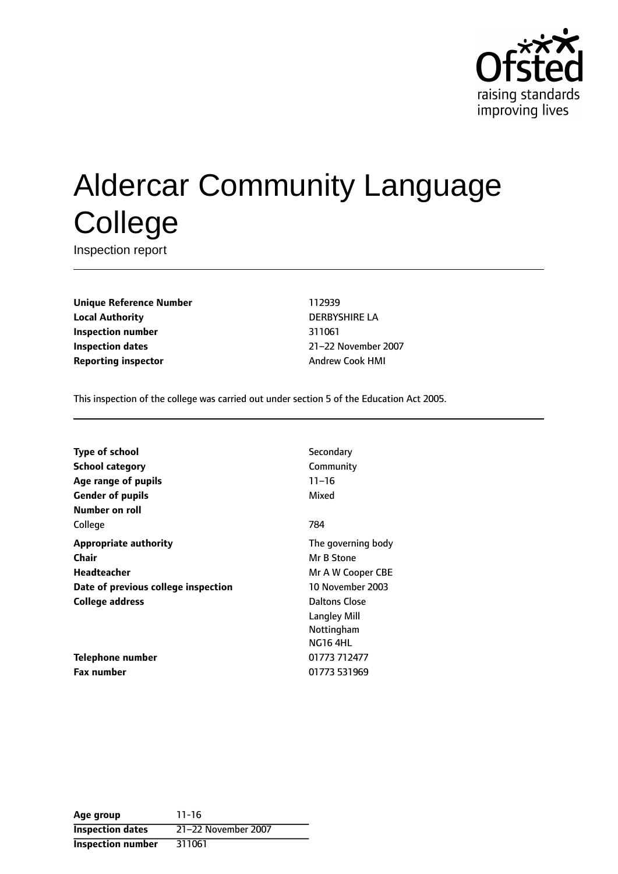

# Aldercar Community Language **College**

Inspection report

**Unique Reference Number** 112939 **Local Authority** DERBYSHIRE LA **Inspection number** 311061 **Inspection dates** 21-22 November 2007 **Reporting inspector** Andrew Cook HMI

This inspection of the college was carried out under section 5 of the Education Act 2005.

| Type of school                      | Secondary           |
|-------------------------------------|---------------------|
| <b>School category</b>              | Community           |
| Age range of pupils                 | $11 - 16$           |
| <b>Gender of pupils</b>             | Mixed               |
| Number on roll                      |                     |
| College                             | 784                 |
| <b>Appropriate authority</b>        | The governing body  |
| Chair                               | Mr B Stone          |
| Headteacher                         | Mr A W Cooper CBE   |
| Date of previous college inspection | 10 November 2003    |
| College address                     | Daltons Close       |
|                                     | <b>Langley Mill</b> |
|                                     | Nottingham          |
|                                     | <b>NG16 4HL</b>     |
| Telephone number                    | 01773 712477        |
| <b>Fax number</b>                   | 01773 531969        |
|                                     |                     |

**Age group** 11-16 **Inspection dates** 21-22 November 2007 **Inspection number** 311061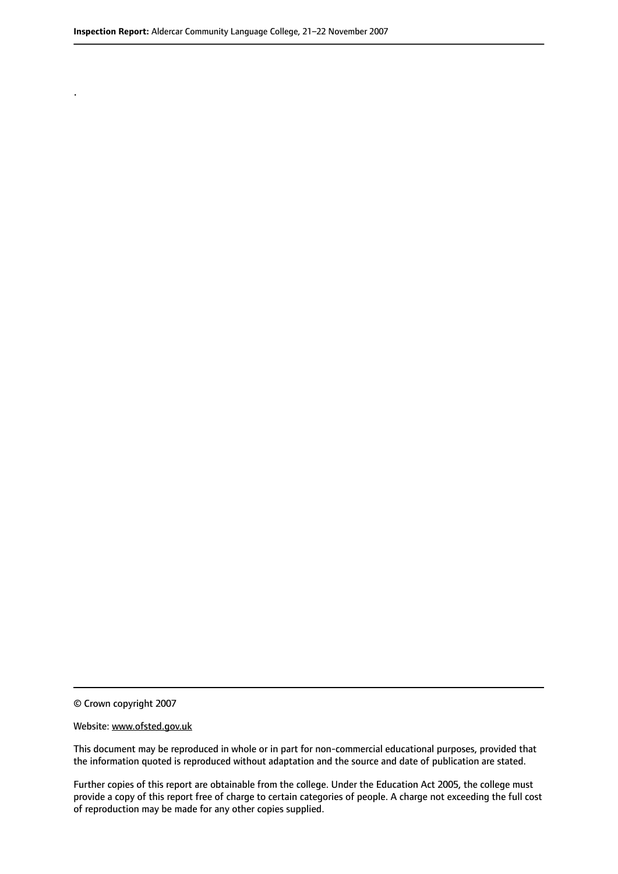.

© Crown copyright 2007

#### Website: www.ofsted.gov.uk

This document may be reproduced in whole or in part for non-commercial educational purposes, provided that the information quoted is reproduced without adaptation and the source and date of publication are stated.

Further copies of this report are obtainable from the college. Under the Education Act 2005, the college must provide a copy of this report free of charge to certain categories of people. A charge not exceeding the full cost of reproduction may be made for any other copies supplied.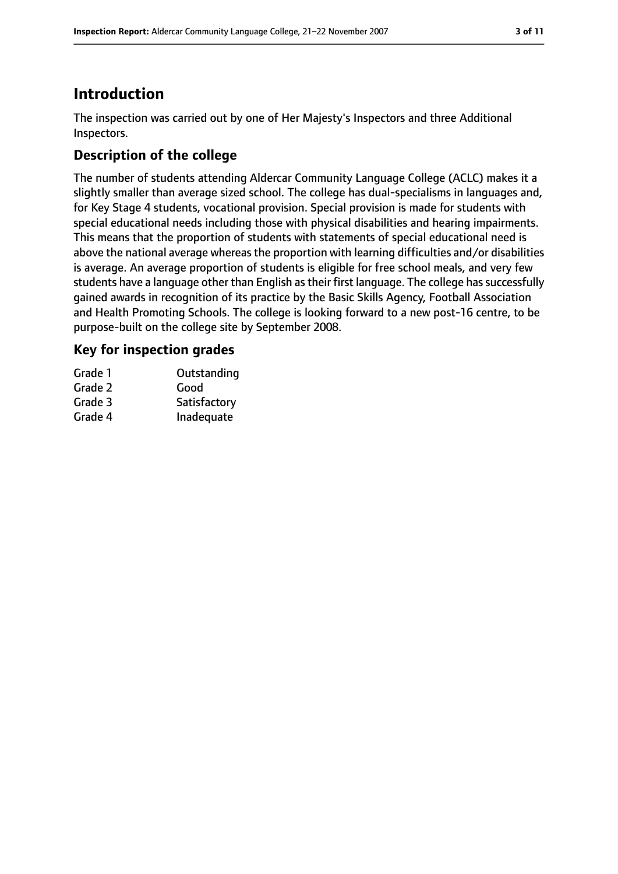## **Introduction**

The inspection was carried out by one of Her Majesty's Inspectors and three Additional Inspectors.

## **Description of the college**

The number of students attending Aldercar Community Language College (ACLC) makes it a slightly smaller than average sized school. The college has dual-specialisms in languages and, for Key Stage 4 students, vocational provision. Special provision is made for students with special educational needs including those with physical disabilities and hearing impairments. This means that the proportion of students with statements of special educational need is above the national average whereas the proportion with learning difficulties and/or disabilities is average. An average proportion of students is eligible for free school meals, and very few students have a language other than English as their first language. The college has successfully gained awards in recognition of its practice by the Basic Skills Agency, Football Association and Health Promoting Schools. The college is looking forward to a new post-16 centre, to be purpose-built on the college site by September 2008.

## **Key for inspection grades**

| Grade 1 | Outstanding  |
|---------|--------------|
| Grade 2 | Good         |
| Grade 3 | Satisfactory |
| Grade 4 | Inadequate   |
|         |              |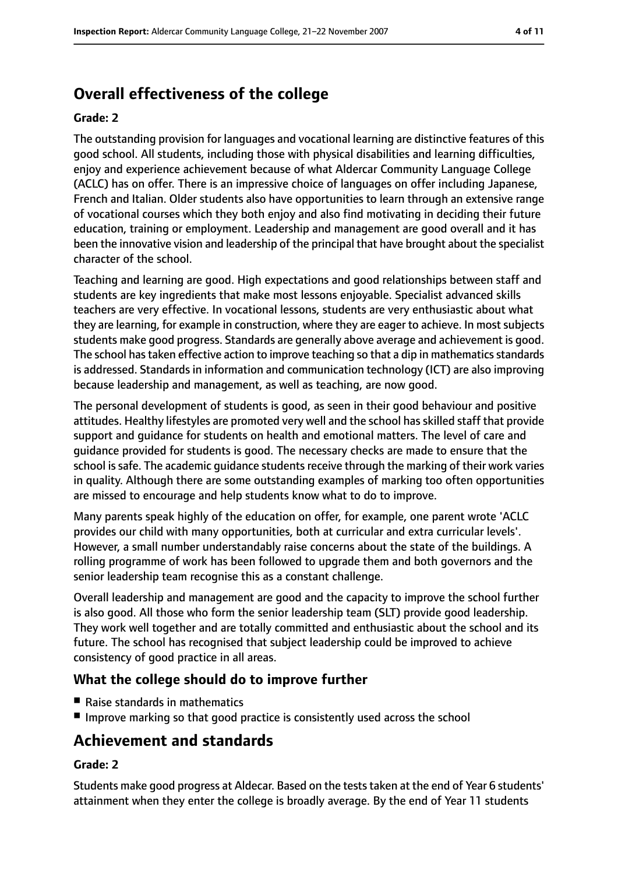# **Overall effectiveness of the college**

#### **Grade: 2**

The outstanding provision for languages and vocational learning are distinctive features of this good school. All students, including those with physical disabilities and learning difficulties, enjoy and experience achievement because of what Aldercar Community Language College (ACLC) has on offer. There is an impressive choice of languages on offer including Japanese, French and Italian. Older students also have opportunities to learn through an extensive range of vocational courses which they both enjoy and also find motivating in deciding their future education, training or employment. Leadership and management are good overall and it has been the innovative vision and leadership of the principal that have brought about the specialist character of the school.

Teaching and learning are good. High expectations and good relationships between staff and students are key ingredients that make most lessons enjoyable. Specialist advanced skills teachers are very effective. In vocational lessons, students are very enthusiastic about what they are learning, for example in construction, where they are eager to achieve. In most subjects students make good progress. Standards are generally above average and achievement is good. The school has taken effective action to improve teaching so that a dip in mathematics standards is addressed. Standards in information and communication technology (ICT) are also improving because leadership and management, as well as teaching, are now good.

The personal development of students is good, as seen in their good behaviour and positive attitudes. Healthy lifestyles are promoted very well and the school has skilled staff that provide support and guidance for students on health and emotional matters. The level of care and guidance provided for students is good. The necessary checks are made to ensure that the school is safe. The academic quidance students receive through the marking of their work varies in quality. Although there are some outstanding examples of marking too often opportunities are missed to encourage and help students know what to do to improve.

Many parents speak highly of the education on offer, for example, one parent wrote 'ACLC provides our child with many opportunities, both at curricular and extra curricular levels'. However, a small number understandably raise concerns about the state of the buildings. A rolling programme of work has been followed to upgrade them and both governors and the senior leadership team recognise this as a constant challenge.

Overall leadership and management are good and the capacity to improve the school further is also good. All those who form the senior leadership team (SLT) provide good leadership. They work well together and are totally committed and enthusiastic about the school and its future. The school has recognised that subject leadership could be improved to achieve consistency of good practice in all areas.

## **What the college should do to improve further**

- Raise standards in mathematics
- Improve marking so that good practice is consistently used across the school

## **Achievement and standards**

#### **Grade: 2**

Students make good progress at Aldecar. Based on the teststaken at the end of Year 6 students' attainment when they enter the college is broadly average. By the end of Year 11 students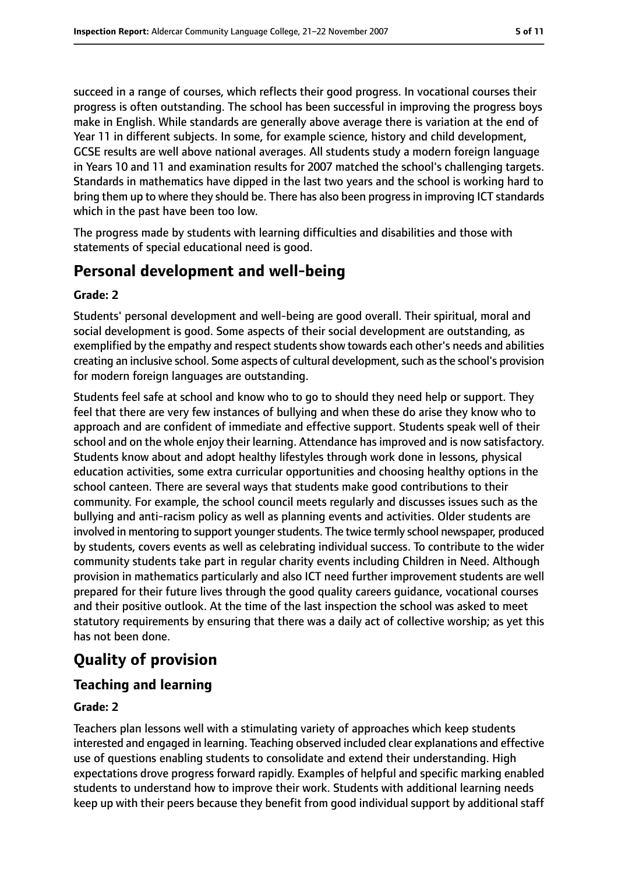succeed in a range of courses, which reflects their good progress. In vocational courses their progress is often outstanding. The school has been successful in improving the progress boys make in English. While standards are generally above average there is variation at the end of Year 11 in different subjects. In some, for example science, history and child development, GCSE results are well above national averages. All students study a modern foreign language in Years 10 and 11 and examination results for 2007 matched the school's challenging targets. Standards in mathematics have dipped in the last two years and the school is working hard to bring them up to where they should be. There has also been progressin improving ICT standards which in the past have been too low.

The progress made by students with learning difficulties and disabilities and those with statements of special educational need is good.

## **Personal development and well-being**

#### **Grade: 2**

Students' personal development and well-being are good overall. Their spiritual, moral and social development is good. Some aspects of their social development are outstanding, as exemplified by the empathy and respect students show towards each other's needs and abilities creating an inclusive school. Some aspects of cultural development, such as the school's provision for modern foreign languages are outstanding.

Students feel safe at school and know who to go to should they need help or support. They feel that there are very few instances of bullying and when these do arise they know who to approach and are confident of immediate and effective support. Students speak well of their school and on the whole enjoy their learning. Attendance has improved and is now satisfactory. Students know about and adopt healthy lifestyles through work done in lessons, physical education activities, some extra curricular opportunities and choosing healthy options in the school canteen. There are several ways that students make good contributions to their community. For example, the school council meets regularly and discusses issues such as the bullying and anti-racism policy as well as planning events and activities. Older students are involved in mentoring to support younger students. The twice termly school newspaper, produced by students, covers events as well as celebrating individual success. To contribute to the wider community students take part in regular charity events including Children in Need. Although provision in mathematics particularly and also ICT need further improvement students are well prepared for their future lives through the good quality careers guidance, vocational courses and their positive outlook. At the time of the last inspection the school was asked to meet statutory requirements by ensuring that there was a daily act of collective worship; as yet this has not been done.

# **Quality of provision**

#### **Teaching and learning**

#### **Grade: 2**

Teachers plan lessons well with a stimulating variety of approaches which keep students interested and engaged in learning. Teaching observed included clear explanations and effective use of questions enabling students to consolidate and extend their understanding. High expectations drove progress forward rapidly. Examples of helpful and specific marking enabled students to understand how to improve their work. Students with additional learning needs keep up with their peers because they benefit from good individual support by additional staff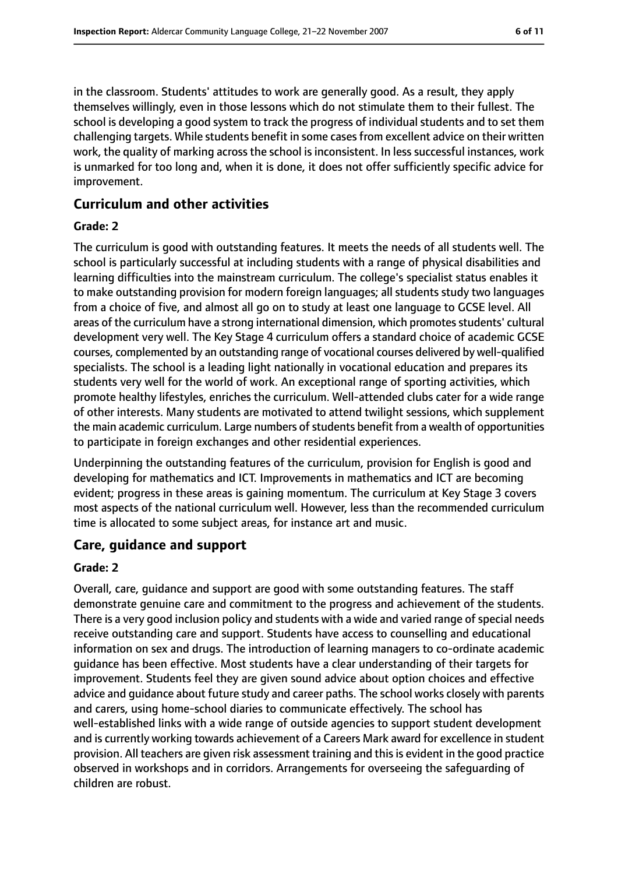in the classroom. Students' attitudes to work are generally good. As a result, they apply themselves willingly, even in those lessons which do not stimulate them to their fullest. The school is developing a good system to track the progress of individual students and to set them challenging targets. While students benefit in some casesfrom excellent advice on their written work, the quality of marking across the school is inconsistent. In less successful instances, work is unmarked for too long and, when it is done, it does not offer sufficiently specific advice for improvement.

#### **Curriculum and other activities**

#### **Grade: 2**

The curriculum is good with outstanding features. It meets the needs of all students well. The school is particularly successful at including students with a range of physical disabilities and learning difficulties into the mainstream curriculum. The college's specialist status enables it to make outstanding provision for modern foreign languages; all students study two languages from a choice of five, and almost all go on to study at least one language to GCSE level. All areas of the curriculum have a strong international dimension, which promotes students' cultural development very well. The Key Stage 4 curriculum offers a standard choice of academic GCSE courses, complemented by an outstanding range of vocational courses delivered by well-qualified specialists. The school is a leading light nationally in vocational education and prepares its students very well for the world of work. An exceptional range of sporting activities, which promote healthy lifestyles, enriches the curriculum. Well-attended clubs cater for a wide range of other interests. Many students are motivated to attend twilight sessions, which supplement the main academic curriculum. Large numbers of students benefit from a wealth of opportunities to participate in foreign exchanges and other residential experiences.

Underpinning the outstanding features of the curriculum, provision for English is good and developing for mathematics and ICT. Improvements in mathematics and ICT are becoming evident; progress in these areas is gaining momentum. The curriculum at Key Stage 3 covers most aspects of the national curriculum well. However, less than the recommended curriculum time is allocated to some subject areas, for instance art and music.

#### **Care, guidance and support**

#### **Grade: 2**

Overall, care, guidance and support are good with some outstanding features. The staff demonstrate genuine care and commitment to the progress and achievement of the students. There is a very good inclusion policy and students with a wide and varied range of special needs receive outstanding care and support. Students have access to counselling and educational information on sex and drugs. The introduction of learning managers to co-ordinate academic guidance has been effective. Most students have a clear understanding of their targets for improvement. Students feel they are given sound advice about option choices and effective advice and guidance about future study and career paths. The school works closely with parents and carers, using home-school diaries to communicate effectively. The school has well-established links with a wide range of outside agencies to support student development and is currently working towards achievement of a Careers Mark award for excellence in student provision. All teachers are given risk assessment training and this is evident in the good practice observed in workshops and in corridors. Arrangements for overseeing the safeguarding of children are robust.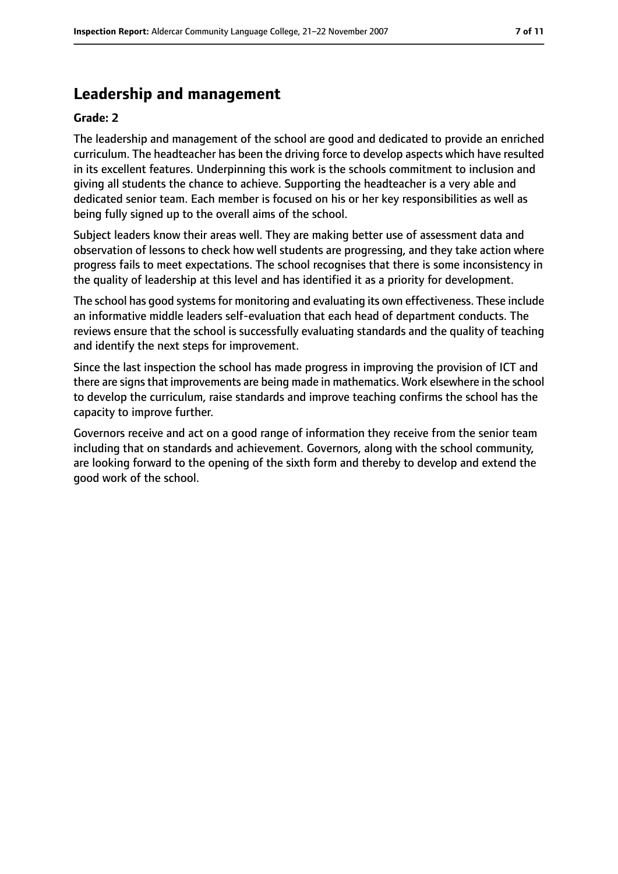## **Leadership and management**

#### **Grade: 2**

The leadership and management of the school are good and dedicated to provide an enriched curriculum. The headteacher has been the driving force to develop aspects which have resulted in its excellent features. Underpinning this work is the schools commitment to inclusion and giving all students the chance to achieve. Supporting the headteacher is a very able and dedicated senior team. Each member is focused on his or her key responsibilities as well as being fully signed up to the overall aims of the school.

Subject leaders know their areas well. They are making better use of assessment data and observation of lessons to check how well students are progressing, and they take action where progress fails to meet expectations. The school recognises that there is some inconsistency in the quality of leadership at this level and has identified it as a priority for development.

The school has good systemsfor monitoring and evaluating its own effectiveness. These include an informative middle leaders self-evaluation that each head of department conducts. The reviews ensure that the school is successfully evaluating standards and the quality of teaching and identify the next steps for improvement.

Since the last inspection the school has made progress in improving the provision of ICT and there are signs that improvements are being made in mathematics. Work elsewhere in the school to develop the curriculum, raise standards and improve teaching confirms the school has the capacity to improve further.

Governors receive and act on a good range of information they receive from the senior team including that on standards and achievement. Governors, along with the school community, are looking forward to the opening of the sixth form and thereby to develop and extend the good work of the school.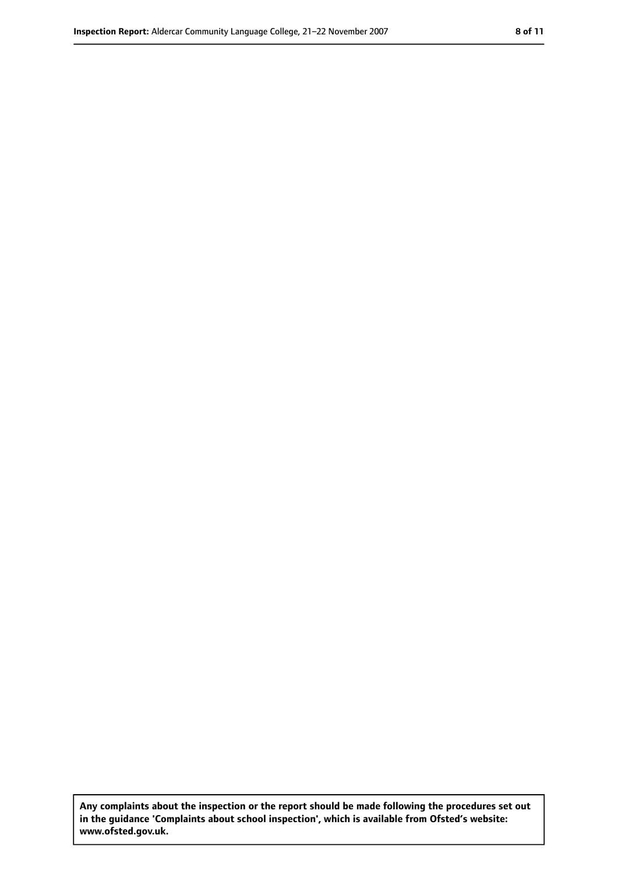**Any complaints about the inspection or the report should be made following the procedures set out in the guidance 'Complaints about school inspection', which is available from Ofsted's website: www.ofsted.gov.uk.**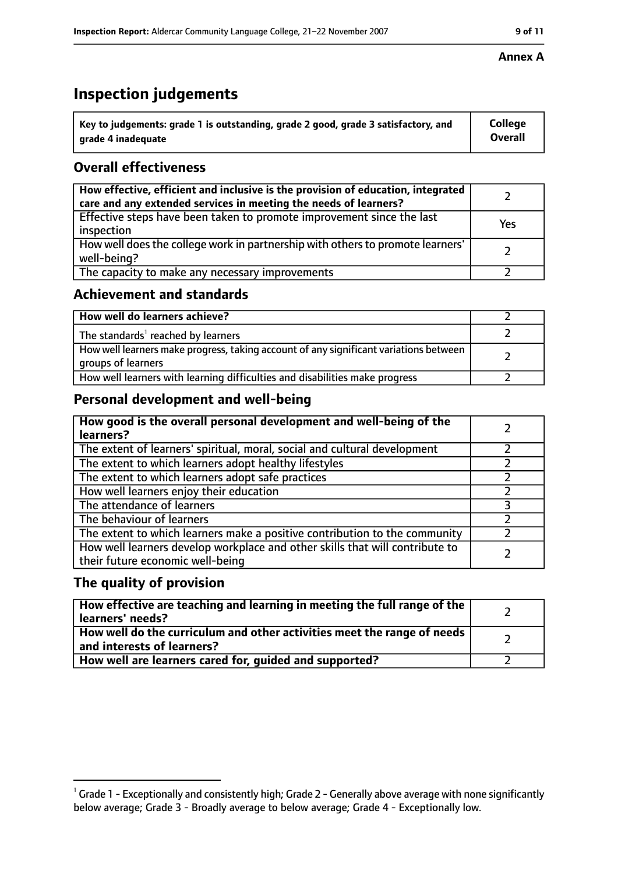# **Inspection judgements**

| $^{\backprime}$ Key to judgements: grade 1 is outstanding, grade 2 good, grade 3 satisfactory, and | <b>College</b> |
|----------------------------------------------------------------------------------------------------|----------------|
| arade 4 inadequate                                                                                 | <b>Overall</b> |

## **Overall effectiveness**

| How effective, efficient and inclusive is the provision of education, integrated<br>care and any extended services in meeting the needs of learners? |     |
|------------------------------------------------------------------------------------------------------------------------------------------------------|-----|
| Effective steps have been taken to promote improvement since the last<br>inspection                                                                  | Yes |
| How well does the college work in partnership with others to promote learners'<br>well-being?                                                        |     |
| The capacity to make any necessary improvements                                                                                                      |     |

## **Achievement and standards**

| How well do learners achieve?                                                                               |  |
|-------------------------------------------------------------------------------------------------------------|--|
| The standards <sup>1</sup> reached by learners                                                              |  |
| How well learners make progress, taking account of any significant variations between<br>groups of learners |  |
| How well learners with learning difficulties and disabilities make progress                                 |  |

## **Personal development and well-being**

| How good is the overall personal development and well-being of the<br>learners?                                  |  |
|------------------------------------------------------------------------------------------------------------------|--|
| The extent of learners' spiritual, moral, social and cultural development                                        |  |
| The extent to which learners adopt healthy lifestyles                                                            |  |
| The extent to which learners adopt safe practices                                                                |  |
| How well learners enjoy their education                                                                          |  |
| The attendance of learners                                                                                       |  |
| The behaviour of learners                                                                                        |  |
| The extent to which learners make a positive contribution to the community                                       |  |
| How well learners develop workplace and other skills that will contribute to<br>their future economic well-being |  |

## **The quality of provision**

| How effective are teaching and learning in meeting the full range of the<br>learners' needs?            |  |
|---------------------------------------------------------------------------------------------------------|--|
| How well do the curriculum and other activities meet the range of needs  <br>and interests of learners? |  |
| How well are learners cared for, guided and supported?                                                  |  |

#### **Annex A**

 $^1$  Grade 1 - Exceptionally and consistently high; Grade 2 - Generally above average with none significantly below average; Grade 3 - Broadly average to below average; Grade 4 - Exceptionally low.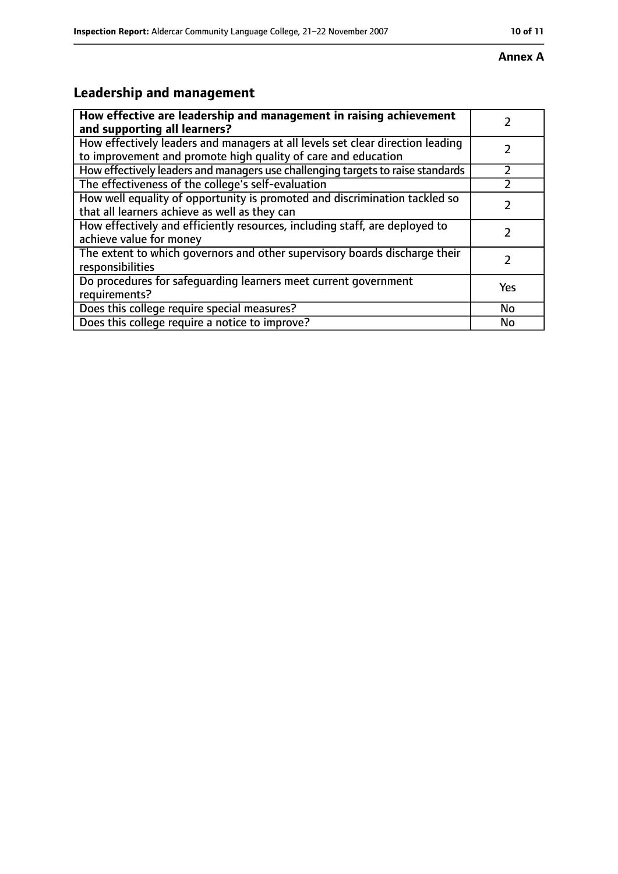#### **Annex A**

# **Leadership and management**

| How effective are leadership and management in raising achievement<br>and supporting all learners?                                              |     |
|-------------------------------------------------------------------------------------------------------------------------------------------------|-----|
| How effectively leaders and managers at all levels set clear direction leading<br>to improvement and promote high quality of care and education |     |
| How effectively leaders and managers use challenging targets to raise standards                                                                 |     |
| The effectiveness of the college's self-evaluation                                                                                              |     |
| How well equality of opportunity is promoted and discrimination tackled so<br>that all learners achieve as well as they can                     |     |
| How effectively and efficiently resources, including staff, are deployed to<br>achieve value for money                                          |     |
| The extent to which governors and other supervisory boards discharge their<br>responsibilities                                                  |     |
| Do procedures for safequarding learners meet current government<br>requirements?                                                                | Yes |
| Does this college require special measures?                                                                                                     | No  |
| Does this college require a notice to improve?                                                                                                  | No  |